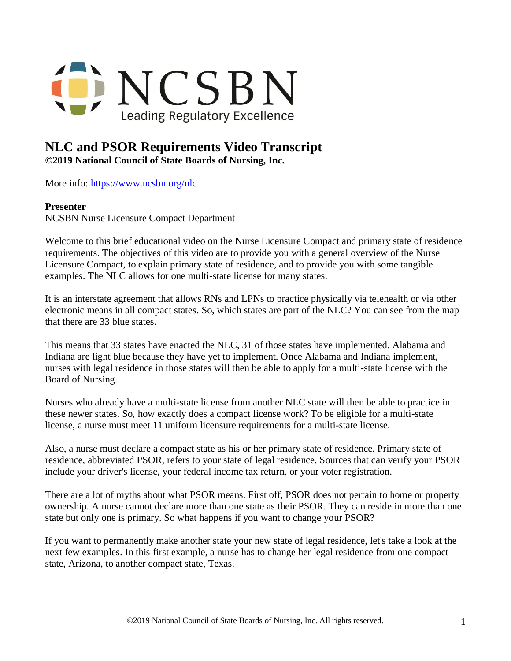

## **NLC and PSOR Requirements Video Transcript**

**©2019 National Council of State Boards of Nursing, Inc.** 

More info: <https://www.ncsbn.org/nlc>

## **Presenter**

NCSBN Nurse Licensure Compact Department

Welcome to this brief educational video on the Nurse Licensure Compact and primary state of residence requirements. The objectives of this video are to provide you with a general overview of the Nurse Licensure Compact, to explain primary state of residence, and to provide you with some tangible examples. The NLC allows for one multi-state license for many states.

It is an interstate agreement that allows RNs and LPNs to practice physically via telehealth or via other electronic means in all compact states. So, which states are part of the NLC? You can see from the map that there are 33 blue states.

This means that 33 states have enacted the NLC, 31 of those states have implemented. Alabama and Indiana are light blue because they have yet to implement. Once Alabama and Indiana implement, nurses with legal residence in those states will then be able to apply for a multi-state license with the Board of Nursing.

Nurses who already have a multi-state license from another NLC state will then be able to practice in these newer states. So, how exactly does a compact license work? To be eligible for a multi-state license, a nurse must meet 11 uniform licensure requirements for a multi-state license.

Also, a nurse must declare a compact state as his or her primary state of residence. Primary state of residence, abbreviated PSOR, refers to your state of legal residence. Sources that can verify your PSOR include your driver's license, your federal income tax return, or your voter registration.

There are a lot of myths about what PSOR means. First off, PSOR does not pertain to home or property ownership. A nurse cannot declare more than one state as their PSOR. They can reside in more than one state but only one is primary. So what happens if you want to change your PSOR?

If you want to permanently make another state your new state of legal residence, let's take a look at the next few examples. In this first example, a nurse has to change her legal residence from one compact state, Arizona, to another compact state, Texas.